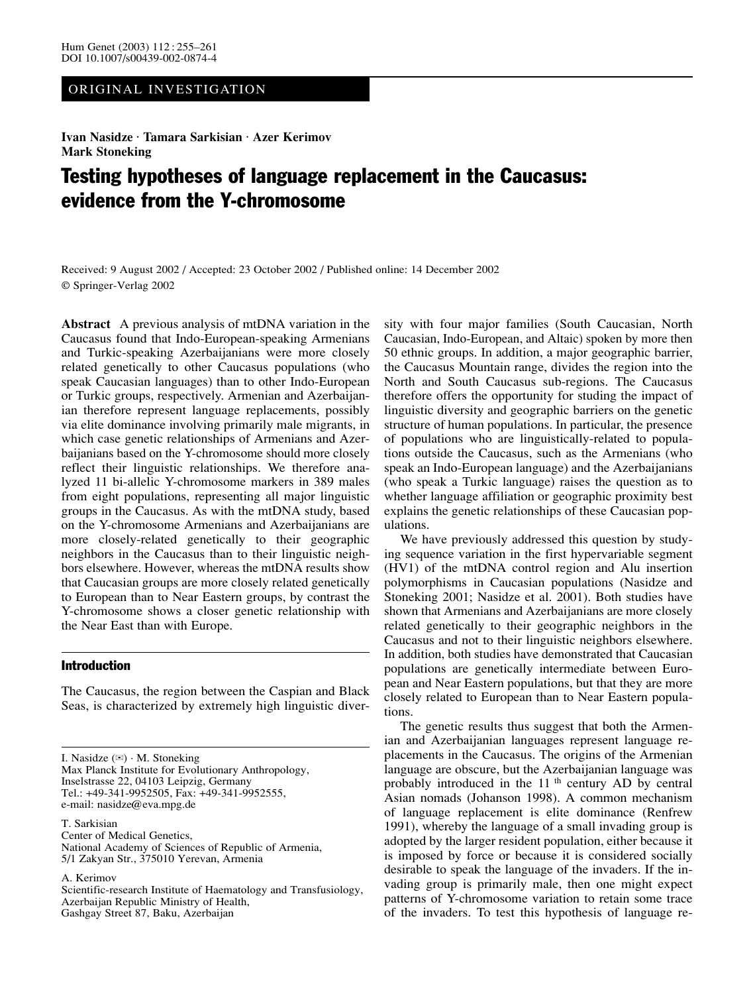# ORIGINAL INVESTIGATION

**Ivan Nasidze · Tamara Sarkisian · Azer Kerimov · Mark Stoneking**

# Testing hypotheses of language replacement in the Caucasus: evidence from the Y-chromosome

Received: 9 August 2002 / Accepted: 23 October 2002 / Published online: 14 December 2002 © Springer-Verlag 2002

**Abstract** A previous analysis of mtDNA variation in the Caucasus found that Indo-European-speaking Armenians and Turkic-speaking Azerbaijanians were more closely related genetically to other Caucasus populations (who speak Caucasian languages) than to other Indo-European or Turkic groups, respectively. Armenian and Azerbaijanian therefore represent language replacements, possibly via elite dominance involving primarily male migrants, in which case genetic relationships of Armenians and Azerbaijanians based on the Y-chromosome should more closely reflect their linguistic relationships. We therefore analyzed 11 bi-allelic Y-chromosome markers in 389 males from eight populations, representing all major linguistic groups in the Caucasus. As with the mtDNA study, based on the Y-chromosome Armenians and Azerbaijanians are more closely-related genetically to their geographic neighbors in the Caucasus than to their linguistic neighbors elsewhere. However, whereas the mtDNA results show that Caucasian groups are more closely related genetically to European than to Near Eastern groups, by contrast the Y-chromosome shows a closer genetic relationship with the Near East than with Europe.

## Introduction

The Caucasus, the region between the Caspian and Black Seas, is characterized by extremely high linguistic diver-

T. Sarkisian Center of Medical Genetics, National Academy of Sciences of Republic of Armenia, 5/1 Zakyan Str., 375010 Yerevan, Armenia

A. Kerimov

Scientific-research Institute of Haematology and Transfusiology, Azerbaijan Republic Ministry of Health, Gashgay Street 87, Baku, Azerbaijan

sity with four major families (South Caucasian, North Caucasian, Indo-European, and Altaic) spoken by more then 50 ethnic groups. In addition, a major geographic barrier, the Caucasus Mountain range, divides the region into the North and South Caucasus sub-regions. The Caucasus therefore offers the opportunity for studing the impact of linguistic diversity and geographic barriers on the genetic structure of human populations. In particular, the presence of populations who are linguistically-related to populations outside the Caucasus, such as the Armenians (who speak an Indo-European language) and the Azerbaijanians (who speak a Turkic language) raises the question as to whether language affiliation or geographic proximity best explains the genetic relationships of these Caucasian populations.

We have previously addressed this question by studying sequence variation in the first hypervariable segment (HV1) of the mtDNA control region and Alu insertion polymorphisms in Caucasian populations (Nasidze and Stoneking 2001; Nasidze et al. 2001). Both studies have shown that Armenians and Azerbaijanians are more closely related genetically to their geographic neighbors in the Caucasus and not to their linguistic neighbors elsewhere. In addition, both studies have demonstrated that Caucasian populations are genetically intermediate between European and Near Eastern populations, but that they are more closely related to European than to Near Eastern populations.

The genetic results thus suggest that both the Armenian and Azerbaijanian languages represent language replacements in the Caucasus. The origins of the Armenian language are obscure, but the Azerbaijanian language was probably introduced in the 11<sup>th</sup> century AD by central Asian nomads (Johanson 1998). A common mechanism of language replacement is elite dominance (Renfrew 1991), whereby the language of a small invading group is adopted by the larger resident population, either because it is imposed by force or because it is considered socially desirable to speak the language of the invaders. If the invading group is primarily male, then one might expect patterns of Y-chromosome variation to retain some trace of the invaders. To test this hypothesis of language re-

I. Nasidze (✉) · M. Stoneking Max Planck Institute for Evolutionary Anthropology, Inselstrasse 22, 04103 Leipzig, Germany Tel.: +49-341-9952505, Fax: +49-341-9952555, e-mail: nasidze@eva.mpg.de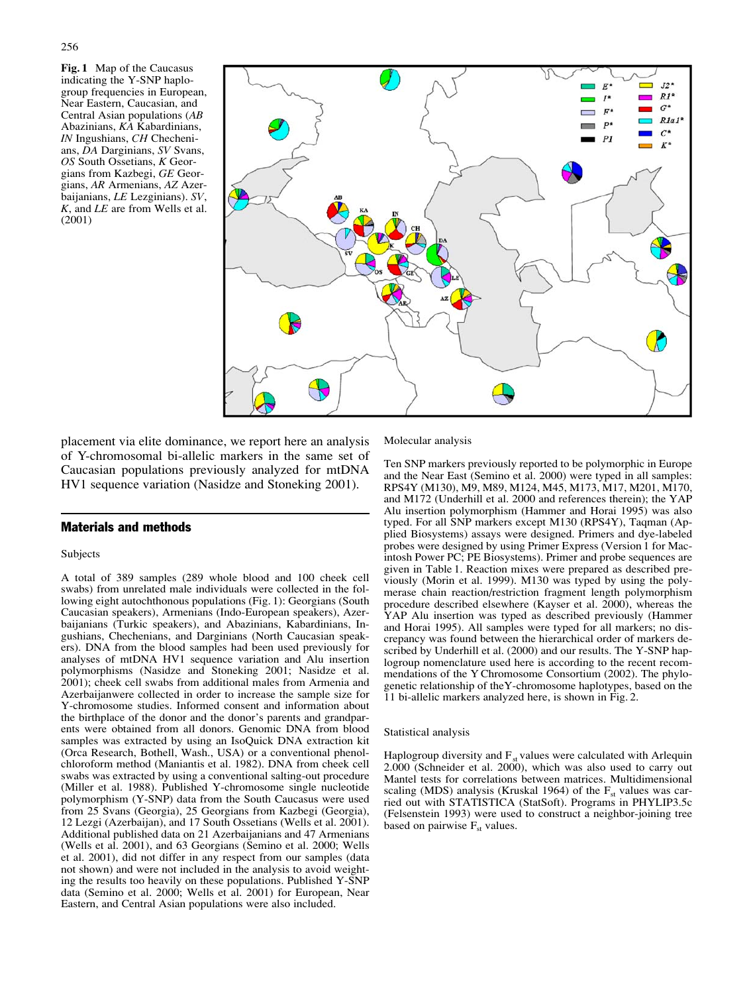256

**Fig. 1** Map of the Caucasus indicating the Y-SNP haplogroup frequencies in European, Near Eastern, Caucasian, and Central Asian populations (*AB* Abazinians, *KA* Kabardinians, *IN* Ingushians, *CH* Chechenians, *DA* Darginians, *SV* Svans, *OS* South Ossetians, *K* Georgians from Kazbegi, *GE* Georgians, *AR* Armenians, *AZ* Azerbaijanians, *LE* Lezginians). *SV*, *K*, and *LE* are from Wells et al. (2001)



placement via elite dominance, we report here an analysis of Y-chromosomal bi-allelic markers in the same set of Caucasian populations previously analyzed for mtDNA HV1 sequence variation (Nasidze and Stoneking 2001).

# Materials and methods

### Subjects

A total of 389 samples (289 whole blood and 100 cheek cell swabs) from unrelated male individuals were collected in the following eight autochthonous populations (Fig. 1): Georgians (South Caucasian speakers), Armenians (Indo-European speakers), Azerbaijanians (Turkic speakers), and Abazinians, Kabardinians, Ingushians, Chechenians, and Darginians (North Caucasian speakers). DNA from the blood samples had been used previously for analyses of mtDNA HV1 sequence variation and Alu insertion polymorphisms (Nasidze and Stoneking 2001; Nasidze et al. 2001); cheek cell swabs from additional males from Armenia and Azerbaijanwere collected in order to increase the sample size for Y-chromosome studies. Informed consent and information about the birthplace of the donor and the donor's parents and grandparents were obtained from all donors. Genomic DNA from blood samples was extracted by using an IsoQuick DNA extraction kit (Orca Research, Bothell, Wash., USA) or a conventional phenolchloroform method (Maniantis et al. 1982). DNA from cheek cell swabs was extracted by using a conventional salting-out procedure (Miller et al. 1988). Published Y-chromosome single nucleotide polymorphism (Y-SNP) data from the South Caucasus were used from 25 Svans (Georgia), 25 Georgians from Kazbegi (Georgia), 12 Lezgi (Azerbaijan), and 17 South Ossetians (Wells et al. 2001). Additional published data on 21 Azerbaijanians and 47 Armenians (Wells et al. 2001), and 63 Georgians (Semino et al. 2000; Wells et al. 2001), did not differ in any respect from our samples (data not shown) and were not included in the analysis to avoid weighting the results too heavily on these populations. Published Y-SNP data (Semino et al. 2000; Wells et al. 2001) for European, Near Eastern, and Central Asian populations were also included.

Molecular analysis

Ten SNP markers previously reported to be polymorphic in Europe and the Near East (Semino et al. 2000) were typed in all samples: RPS4Y (M130), M9, M89, M124, M45, M173, M17, M201, M170, and M172 (Underhill et al. 2000 and references therein); the YAP Alu insertion polymorphism (Hammer and Horai 1995) was also typed. For all SNP markers except M130 (RPS4Y), Taqman (Applied Biosystems) assays were designed. Primers and dye-labeled probes were designed by using Primer Express (Version 1 for Macintosh Power PC; PE Biosystems). Primer and probe sequences are given in Table 1. Reaction mixes were prepared as described previously (Morin et al. 1999). M130 was typed by using the polymerase chain reaction/restriction fragment length polymorphism procedure described elsewhere (Kayser et al. 2000), whereas the YAP Alu insertion was typed as described previously (Hammer and Horai 1995). All samples were typed for all markers; no discrepancy was found between the hierarchical order of markers described by Underhill et al. (2000) and our results. The Y-SNP haplogroup nomenclature used here is according to the recent recommendations of the Y Chromosome Consortium (2002). The phylogenetic relationship of theY-chromosome haplotypes, based on the 11 bi-allelic markers analyzed here, is shown in Fig. 2.

#### Statistical analysis

Haplogroup diversity and  $F_{st}$  values were calculated with Arlequin 2.000 (Schneider et al. 2000), which was also used to carry out Mantel tests for correlations between matrices. Multidimensional scaling (MDS) analysis (Kruskal 1964) of the  $F_{st}$  values was carried out with STATISTICA (StatSoft). Programs in PHYLIP3.5c (Felsenstein 1993) were used to construct a neighbor-joining tree based on pairwise  $F<sub>st</sub>$  values.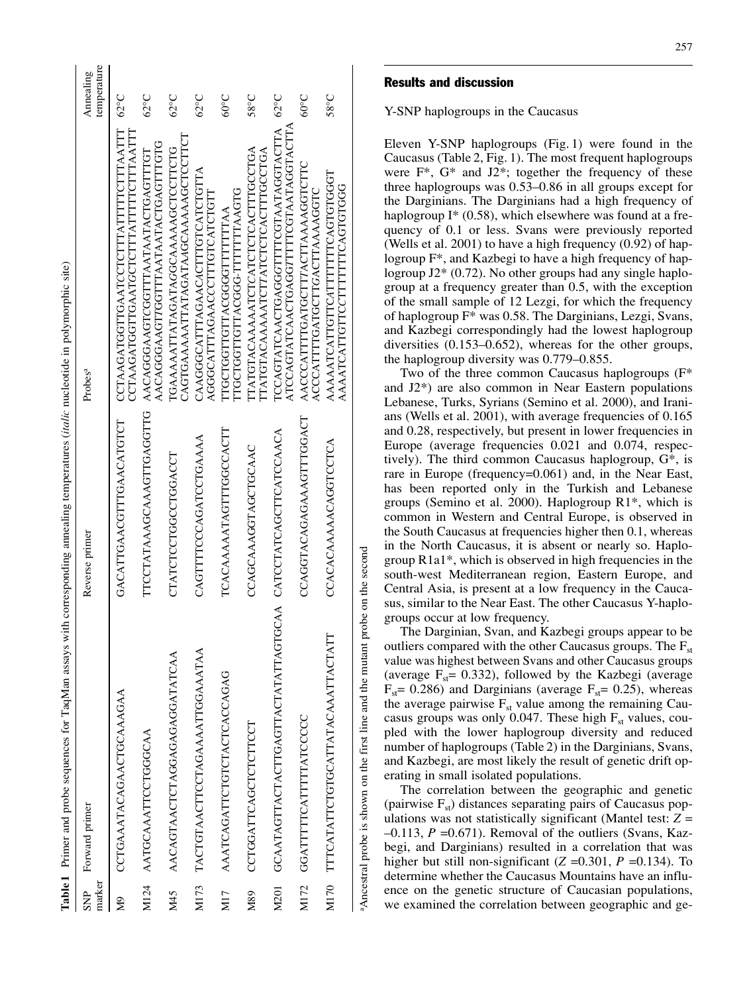|                      | Table 1 Primer and probe sequences for TaqMan assays with corresponding annealing temperatures ( <i>italic</i> nucleotide in polymorphic site) |                                |                                                                                |                          |
|----------------------|------------------------------------------------------------------------------------------------------------------------------------------------|--------------------------------|--------------------------------------------------------------------------------|--------------------------|
| marker<br><b>SNP</b> | Forward primer                                                                                                                                 | Reverse primer                 | Probes <sup>a</sup>                                                            | temperature<br>Annealing |
|                      | CCTGAAATACAGAACTGCAAAGAA                                                                                                                       | GACATTGAACGTTGAACATGT          | CCTAAGATGGTTGAATCCTCTTTATTTTCTTTAATTT<br>CCTAAGATGGTTGAATGCTCTTTATTTTCTTTAATTT | $62^{\circ}$ C           |
| M124                 | AATGCAAATTCCTGGGCAA                                                                                                                            | TTCCTATAAAGCAAAGTTGAGGTTG      | AACAGGAAGTCGTTTAATAATACTGAGTTGT                                                | 62°C                     |
| M45                  | AACAGTAACTCTAGGAGAGGATATCAA                                                                                                                    | CTATCTCCTGCCTGGACCT            | CAGTGAAAAATTATAGAAAAAAAAGCTCCTTCT<br>TGAAAAATTATAGAATGCAAAAAGCTCCTTCTG         | $62^{\circ}$ C           |
| M173                 | TACTGTAACTTCCTAGAAATTGGAAATAA                                                                                                                  | CAGTTTTCCCAGATCCTGAAAA         | CAAGGGATTTAGAACATTTGTCATCTGTTA<br>AGGCATTTAGAACCTTTGTCATCTGTT                  | $62^{\circ}$ C           |
|                      | AAATCAGATTCTGTCTACTCACAGAG                                                                                                                     | <b>TCACAAAAATAGTTTGGCCACTT</b> | ITGCTGGTTGTT4CGG-TTTTTTTAAGTG<br>TTGCTGGTTGTACGGGTTTTTTAA                      | $60^{\circ}$ C           |
| M89                  | CCTGGATTCAGCTCTTCCTT                                                                                                                           | CCAGCAAAGTAGCTGCAAC            | TTATGTACAAAATCTCATCTCACTTTGCCTGA<br>TTATGTACAAAATCTTATCTCACTTTGCCTGA           | $58^{\circ}$ C           |
| M201                 | GCAATAGTTACTGGAGTTACTATTAGTGCAA CATCCTATCAGCTTCATCCAACA                                                                                        |                                | TCCAGTATCAACTGAGGTTTCGTAATAGGTACTTA<br>ATCCAGTATCAACTGAGCTTTTCGTAATAGTACTT.    | $62^{\circ}$ C           |
| M172                 | GGATTITICATTITIATCCCC                                                                                                                          | CCAGGTACAGAAAAGTTGGACT         | AACCCATTTTGATGCTTTACTTAAAAGGTCTTC<br>ACCCATTITGATGCITGACTTAAAAGGTC             | 5.09                     |
| M170                 | TTTCATATTCTGTGCATTATACAAATTACTATT                                                                                                              | CCACACAAAACAGGTCCTCA           | AAAAATCATTGTTCATTTTTCAGTGGGGT<br>AAAATCATTGTTCCTTTTTTCAGTGGG                   | $58^{\circ}$ C           |
|                      |                                                                                                                                                |                                |                                                                                |                          |

Results and discussion

Y-SNP haplogroups in the Caucasus

Eleven Y-SNP haplogroups (Fig. 1) were found in the Caucasus (Table 2, Fig. 1). The most frequent haplogroups were  $F^*$ ,  $G^*$  and  $J2^*$ ; together the frequency of these three haplogroups was 0.53–0.86 in all groups except for the Darginians. The Darginians had a high frequency of haplogroup  $I^*$  (0.58), which elsewhere was found at a frequency of 0.1 or less. Svans were previously reported (Wells et al. 2001) to have a high frequency (0.92) of haplogroup F\*, and Kazbegi to have a high frequency of haplogroup J2\* (0.72). No other groups had any single haplogroup at a frequency greater than 0.5, with the exception of the small sample of 12 Lezgi, for which the frequency of haplogroup F\* was 0.58. The Darginians, Lezgi, Svans, and Kazbegi correspondingly had the lowest haplogroup diversities (0.153–0.652), whereas for the other groups, the haplogroup diversity was 0.779–0.855.

Two of the three common Caucasus haplogroups (F\* and J2\*) are also common in Near Eastern populations Lebanese, Turks, Syrians (Semino et al. 2000), and Iranians (Wells et al. 2001), with average frequencies of 0.165 and 0.28, respectively, but present in lower frequencies in Europe (average frequencies 0.021 and 0.074, respectively). The third common Caucasus haplogroup, G\*, is rare in Europe (frequency=0.061) and, in the Near East, has been reported only in the Turkish and Lebanese groups (Semino et al. 2000). Haplogroup R1\*, which is common in Western and Central Europe, is observed in the South Caucasus at frequencies higher then 0.1, whereas in the North Caucasus, it is absent or nearly so. Haplogroup R1a1\*, which is observed in high frequencies in the south-west Mediterranean region, Eastern Europe, and Central Asia, is present at a low frequency in the Caucasus, similar to the Near East. The other Caucasus Y-haplogroups occur at low frequency.

The Darginian, Svan, and Kazbegi groups appear to be outliers compared with the other Caucasus groups. The  $F_{st}$ value was highest between Svans and other Caucasus groups (average F<sub>st</sub>= 0.332), followed by the Kazbegi (average  $F_{\text{st}}$ = 0.286) and Darginians (average  $F_{\text{st}}$ = 0.25), whereas the average pairwise  $F_{st}$  value among the remaining Caucasus groups was only 0.047. These high  $F_{st}$  values, coupled with the lower haplogroup diversity and reduced number of haplogroups (Table 2) in the Darginians, Svans, and Kazbegi, are most likely the result of genetic drift operating in small isolated populations.

aAncestral probe is shown on the first line and the mutant probe on the second

Ancestral probe is shown on the first line and the mutant probe on the second

The correlation between the geographic and genetic (pairwise  $F_{st}$ ) distances separating pairs of Caucasus populations was not statistically significant (Mantel test: *Z* =  $-0.113$ ,  $P = 0.671$ ). Removal of the outliers (Svans, Kazbegi, and Darginians) resulted in a correlation that was higher but still non-significant  $(Z = 0.301, P = 0.134)$ . To determine whether the Caucasus Mountains have an influence on the genetic structure of Caucasian populations, we examined the correlation between geographic and ge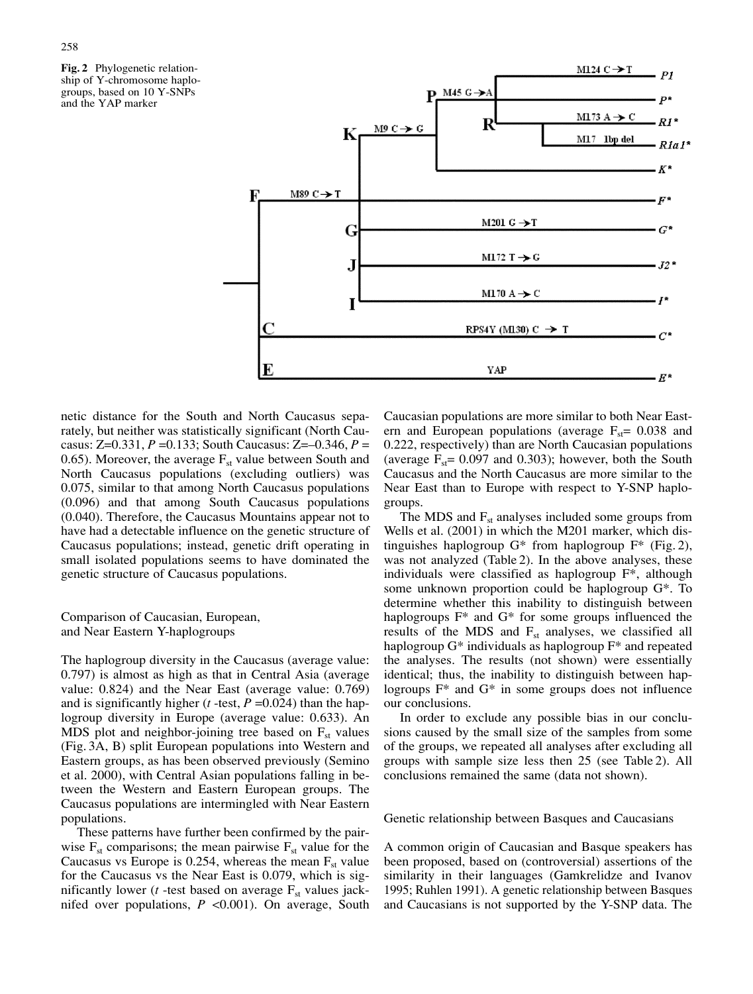**Fig. 2** Phylogenetic relationship of Y-chromosome haplogroups, based on 10 Y-SNPs and the YAP marker



netic distance for the South and North Caucasus separately, but neither was statistically significant (North Caucasus: Z=0.331, *P* =0.133; South Caucasus: Z=–0.346, *P* = 0.65). Moreover, the average  $F_{st}$  value between South and North Caucasus populations (excluding outliers) was 0.075, similar to that among North Caucasus populations (0.096) and that among South Caucasus populations (0.040). Therefore, the Caucasus Mountains appear not to have had a detectable influence on the genetic structure of Caucasus populations; instead, genetic drift operating in small isolated populations seems to have dominated the genetic structure of Caucasus populations.

Comparison of Caucasian, European, and Near Eastern Y-haplogroups

The haplogroup diversity in the Caucasus (average value: 0.797) is almost as high as that in Central Asia (average value: 0.824) and the Near East (average value: 0.769) and is significantly higher ( $t$  -test,  $P = 0.024$ ) than the haplogroup diversity in Europe (average value: 0.633). An MDS plot and neighbor-joining tree based on  $F_{st}$  values (Fig. 3A, B) split European populations into Western and Eastern groups, as has been observed previously (Semino et al. 2000), with Central Asian populations falling in between the Western and Eastern European groups. The Caucasus populations are intermingled with Near Eastern populations.

These patterns have further been confirmed by the pairwise  $F_{st}$  comparisons; the mean pairwise  $F_{st}$  value for the Caucasus vs Europe is 0.254, whereas the mean  $F_{st}$  value for the Caucasus vs the Near East is 0.079, which is significantly lower ( $t$  -test based on average  $F_{st}$  values jacknifed over populations, *P* <0.001). On average, South

Caucasian populations are more similar to both Near Eastern and European populations (average  $F_{st}$  = 0.038 and 0.222, respectively) than are North Caucasian populations (average  $F_{\rm st}$ = 0.097 and 0.303); however, both the South Caucasus and the North Caucasus are more similar to the Near East than to Europe with respect to Y-SNP haplogroups.

The MDS and  $F_{st}$  analyses included some groups from Wells et al. (2001) in which the M201 marker, which distinguishes haplogroup  $G^*$  from haplogroup  $F^*$  (Fig. 2), was not analyzed (Table 2). In the above analyses, these individuals were classified as haplogroup F\*, although some unknown proportion could be haplogroup G\*. To determine whether this inability to distinguish between haplogroups F\* and G\* for some groups influenced the results of the MDS and  $F_{st}$  analyses, we classified all haplogroup G\* individuals as haplogroup F\* and repeated the analyses. The results (not shown) were essentially identical; thus, the inability to distinguish between haplogroups F\* and G\* in some groups does not influence our conclusions.

In order to exclude any possible bias in our conclusions caused by the small size of the samples from some of the groups, we repeated all analyses after excluding all groups with sample size less then 25 (see Table 2). All conclusions remained the same (data not shown).

Genetic relationship between Basques and Caucasians

A common origin of Caucasian and Basque speakers has been proposed, based on (controversial) assertions of the similarity in their languages (Gamkrelidze and Ivanov 1995; Ruhlen 1991). A genetic relationship between Basques and Caucasians is not supported by the Y-SNP data. The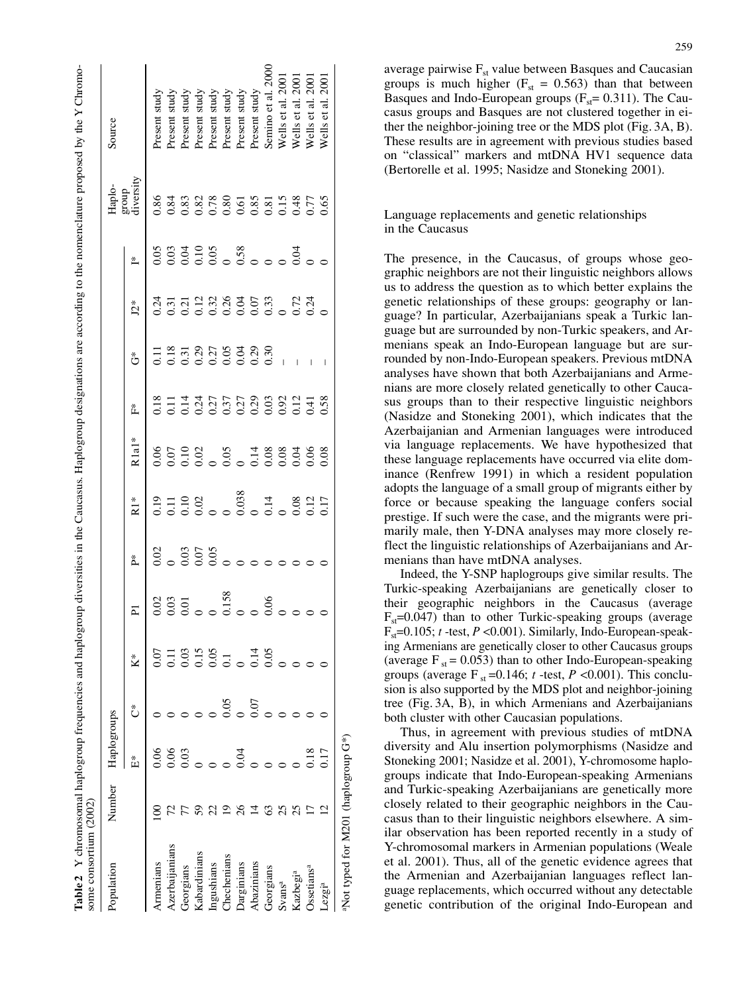| some consortium (2002)              |        |             |   |                  |                                                      |                                                     |                                             |                                 |    |                                                                                                                                                                                                                                                                                                               |       |      |                                      | Table 2 Y chromosomal haplogroup frequencies and haplogroup diversities in the Caucasus. Haplogroup designations are according to the nomenclature proposed by the Y Chromo- |
|-------------------------------------|--------|-------------|---|------------------|------------------------------------------------------|-----------------------------------------------------|---------------------------------------------|---------------------------------|----|---------------------------------------------------------------------------------------------------------------------------------------------------------------------------------------------------------------------------------------------------------------------------------------------------------------|-------|------|--------------------------------------|------------------------------------------------------------------------------------------------------------------------------------------------------------------------------|
| Population                          | Number | Haplogroups |   |                  |                                                      |                                                     |                                             |                                 |    |                                                                                                                                                                                                                                                                                                               |       |      | Haplo-                               | Source                                                                                                                                                                       |
|                                     |        | Ě           | ٹ | K*               | $\overline{P}$                                       | ř,                                                  | $\frac{1}{2}$                               | $R1a1*$                         | ř. | ڽ                                                                                                                                                                                                                                                                                                             | $12*$ | ř    | liversity<br>group                   |                                                                                                                                                                              |
| Armenians                           |        |             |   |                  | 0.02                                                 | 0.02                                                |                                             |                                 |    | $\Xi$                                                                                                                                                                                                                                                                                                         |       | 0.05 |                                      | Present study                                                                                                                                                                |
| Azerbaijanians                      |        | 3.0E        |   |                  |                                                      |                                                     |                                             |                                 |    |                                                                                                                                                                                                                                                                                                               |       |      |                                      | Present study                                                                                                                                                                |
| Georgians                           |        |             |   |                  | $\begin{array}{c} 0.03 \\ 0.01 \\ 0.000 \end{array}$ | $\begin{array}{c} 0.03 \\ 0.07 \\ 0.07 \end{array}$ | 2<br>2008 300 10 800<br>2009 2009 2009 2009 | 8598 5 1888188<br>0000000000000 |    | $\begin{array}{c} 0.75 \\ 0.31 \\ 0.32 \\ 0.35 \\ 0.37 \\ 0.37 \\ 0.38 \\ 0.39 \\ 0.30 \\ 0.30 \\ 0.30 \\ 0.30 \\ 0.30 \\ 0.30 \\ 0.30 \\ 0.30 \\ 0.30 \\ 0.30 \\ 0.30 \\ 0.30 \\ 0.30 \\ 0.30 \\ 0.30 \\ 0.30 \\ 0.30 \\ 0.30 \\ 0.30 \\ 0.30 \\ 0.30 \\ 0.30 \\ 0.30 \\ 0.30 \\ 0.30 \\ 0.30 \\ 0.30 \\ 0.$ |       |      | 86<br>88888865851548<br>000000000000 | Present study                                                                                                                                                                |
| Kabardinians                        |        |             |   | 0.15             |                                                      |                                                     |                                             |                                 |    |                                                                                                                                                                                                                                                                                                               |       |      |                                      | Present study                                                                                                                                                                |
| Ingushians                          |        |             |   | 0.05             |                                                      |                                                     |                                             |                                 |    |                                                                                                                                                                                                                                                                                                               |       |      |                                      | Present study                                                                                                                                                                |
| Chechenians                         |        |             |   | $\overline{0}$ . | $0.158$<br>$0.06$<br>$0.06$                          |                                                     |                                             |                                 |    |                                                                                                                                                                                                                                                                                                               |       |      |                                      | Present study                                                                                                                                                                |
| Darginians                          |        |             |   |                  |                                                      | $\circ$                                             |                                             |                                 |    |                                                                                                                                                                                                                                                                                                               |       |      |                                      | Present study                                                                                                                                                                |
| Abazinians                          |        |             |   | 0.14             |                                                      |                                                     |                                             |                                 |    |                                                                                                                                                                                                                                                                                                               |       |      |                                      | Present study                                                                                                                                                                |
| Georgians                           |        |             |   | 0.05             |                                                      |                                                     |                                             |                                 |    |                                                                                                                                                                                                                                                                                                               |       |      |                                      | Semino et al. 200                                                                                                                                                            |
| Svans <sup>a</sup>                  |        |             |   |                  |                                                      |                                                     |                                             |                                 |    |                                                                                                                                                                                                                                                                                                               |       |      |                                      | Wells et al. 200                                                                                                                                                             |
| Kazbegi <sup>a</sup>                |        |             |   |                  |                                                      |                                                     |                                             |                                 |    |                                                                                                                                                                                                                                                                                                               |       |      |                                      | Wells et al. 200                                                                                                                                                             |
| Ossetians <sup>a</sup>              |        |             |   |                  |                                                      |                                                     |                                             |                                 |    |                                                                                                                                                                                                                                                                                                               |       |      | $0.77$<br>0.65                       | <b>2001</b><br>Wells et al.                                                                                                                                                  |
| Lezgi <sup>a</sup>                  |        |             |   |                  |                                                      |                                                     |                                             |                                 |    |                                                                                                                                                                                                                                                                                                               |       |      |                                      | 2001<br>Wells et al.                                                                                                                                                         |
| aNot typed for M201 (haplogroup G*) |        |             |   |                  |                                                      |                                                     |                                             |                                 |    |                                                                                                                                                                                                                                                                                                               |       |      |                                      |                                                                                                                                                                              |

average pairwise  $F_{st}$  value between Basques and Caucasian groups is much higher ( $F_{st} = 0.563$ ) than that between Basques and Indo-European groups ( $F_{st}$ = 0.311). The Caucasus groups and Basques are not clustered together in either the neighbor-joining tree or the MDS plot (Fig. 3A, B). These results are in agreement with previous studies based on "classical" markers and mtDNA HV1 sequence data (Bertorelle et al. 1995; Nasidze and Stoneking 2001).

Language replacements and genetic relationships in the Caucasus

The presence, in the Caucasus, of groups whose geographic neighbors are not their linguistic neighbors allows us to address the question as to which better explains the genetic relationships of these groups: geography or language? In particular, Azerbaijanians speak a Turkic language but are surrounded by non-Turkic speakers, and Armenians speak an Indo-European language but are surrounded by non-Indo-European speakers. Previous mtDNA analyses have shown that both Azerbaijanians and Armenians are more closely related genetically to other Caucasus groups than to their respective linguistic neighbors (Nasidze and Stoneking 2001), which indicates that the Azerbaijanian and Armenian languages were introduced via language replacements. We have hypothesized that these language replacements have occurred via elite dominance (Renfrew 1991) in which a resident population adopts the language of a small group of migrants either by force or because speaking the language confers social prestige. If such were the case, and the migrants were primarily male, then Y-DNA analyses may more closely reflect the linguistic relationships of Azerbaijanians and Armenians than have mtDNA analyses.

Indeed, the Y-SNP haplogroups give similar results. The Turkic-speaking Azerbaijanians are genetically closer to their geographic neighbors in the Caucasus (average  $F_{st}=0.047$ ) than to other Turkic-speaking groups (average  $F_{st}$ =0.105; *t* -test, *P* <0.001). Similarly, Indo-European-speaking Armenians are genetically closer to other Caucasus groups (average  $F_{st} = 0.053$ ) than to other Indo-European-speaking groups (average  $F_{st}$  =0.146; *t* -test, *P* <0.001). This conclusion is also supported by the MDS plot and neighbor-joining tree (Fig. 3A, B), in which Armenians and Azerbaijanians both cluster with other Caucasian populations.

Thus, in agreement with previous studies of mtDNA diversity and Alu insertion polymorphisms (Nasidze and Stoneking 2001; Nasidze et al. 2001), Y-chromosome haplo groups indicate that Indo-European-speaking Armenians and Turkic-speaking Azerbaijanians are genetically more closely related to their geographic neighbors in the Caucasus than to their linguistic neighbors elsewhere. A similar observation has been reported recently in a study of Y-chromosomal markers in Armenian populations (Weale et al. 2001). Thus, all of the genetic evidence agrees that the Armenian and Azerbaijanian languages reflect language replacements, which occurred without any detectable genetic contribution of the original Indo-European and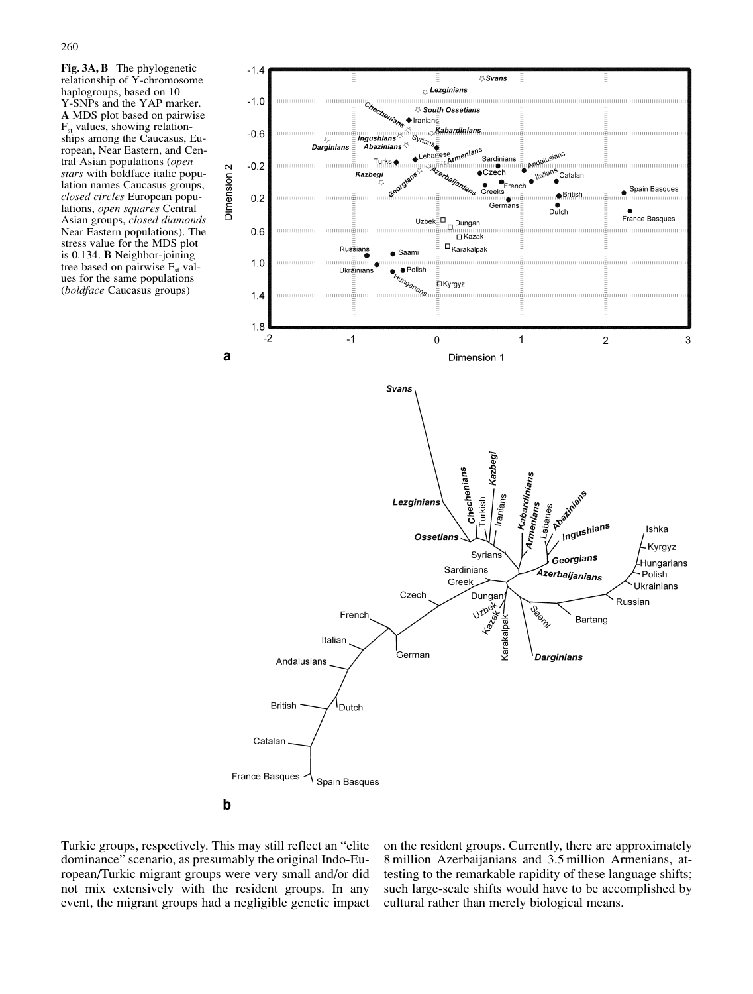**Fig. 3A, B** The phylogenetic relationship of Y-chromosome haplogroups, based on 10 Y-SNPs and the YAP marker. **A** MDS plot based on pairwise Fst values, showing relationships among the Caucasus, European, Near Eastern, and Central Asian populations (*open stars* with boldface italic population names Caucasus groups, *closed circles* European populations, *open squares* Central Asian groups, *closed diamonds* Near Eastern populations). The stress value for the MDS plot is 0.134. **B** Neighbor-joining tree based on pairwise  $F_{st}$  values for the same populations (*boldface* Caucasus groups)



Turkic groups, respectively. This may still reflect an "elite dominance" scenario, as presumably the original Indo-European/Turkic migrant groups were very small and/or did not mix extensively with the resident groups. In any event, the migrant groups had a negligible genetic impact on the resident groups. Currently, there are approximately 8 million Azerbaijanians and 3.5 million Armenians, attesting to the remarkable rapidity of these language shifts; such large-scale shifts would have to be accomplished by cultural rather than merely biological means.